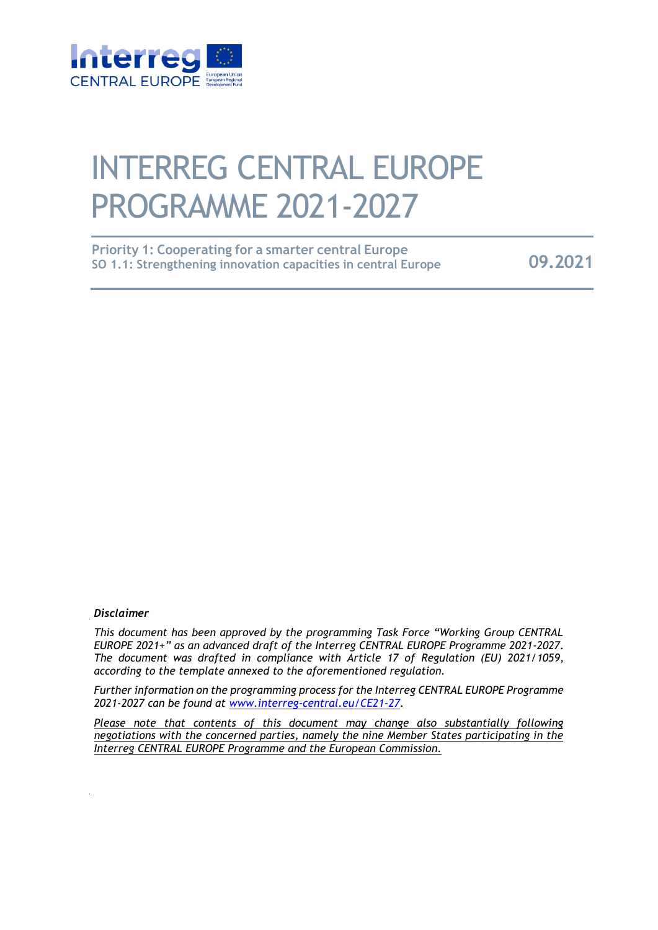

# INTERREG CENTRAL EUROPE PROGRAMME 2021-2027

| <b>Priority 1: Cooperating for a smarter central Europe</b>   |         |
|---------------------------------------------------------------|---------|
| SO 1.1: Strengthening innovation capacities in central Europe | 09.2021 |

#### *Disclaimer*

*This document has been approved by the programming Task Force "Working Group CENTRAL EUROPE 2021+" as an advanced draft of the Interreg CENTRAL EUROPE Programme 2021-2027. The document was drafted in compliance with Article 17 of Regulation (EU) 2021/1059, according to the template annexed to the aforementioned regulation.* 

*Further information on the programming process for the Interreg CENTRAL EUROPE Programme 2021-2027 can be found at www.interreg-central.eu/CE21-27.* 

*Please note that contents of this document may change also substantially following negotiations with the concerned parties, namely the nine Member States participating in the Interreg CENTRAL EUROPE Programme and the European Commission.*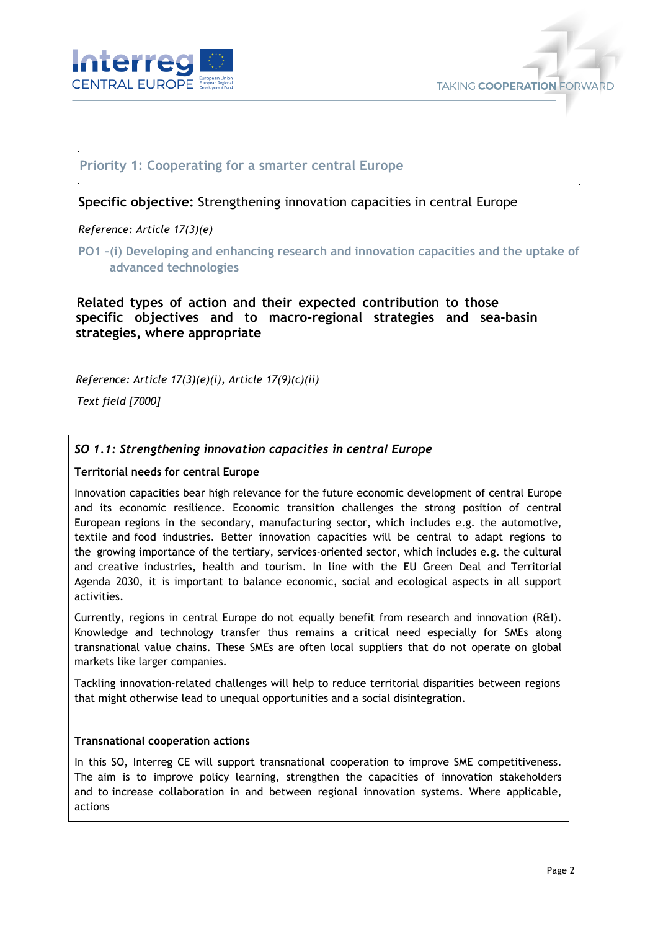



# **Priority 1: Cooperating for a smarter central Europe**

# **Specific objective:** Strengthening innovation capacities in central Europe

## *Reference: Article 17(3)(e)*

**PO1 –(i) Developing and enhancing research and innovation capacities and the uptake of advanced technologies** 

# **Related types of action and their expected contribution to those specific objectives and to macro-regional strategies and sea-basin strategies, where appropriate**

*Reference: Article 17(3)(e)(i), Article 17(9)(c)(ii)* 

*Text field [7000]* 

# *SO 1.1: Strengthening innovation capacities in central Europe*

#### **Territorial needs for central Europe**

Innovation capacities bear high relevance for the future economic development of central Europe and its economic resilience. Economic transition challenges the strong position of central European regions in the secondary, manufacturing sector, which includes e.g. the automotive, textile and food industries. Better innovation capacities will be central to adapt regions to the growing importance of the tertiary, services-oriented sector, which includes e.g. the cultural and creative industries, health and tourism. In line with the EU Green Deal and Territorial Agenda 2030, it is important to balance economic, social and ecological aspects in all support activities.

Currently, regions in central Europe do not equally benefit from research and innovation (R&I). Knowledge and technology transfer thus remains a critical need especially for SMEs along transnational value chains. These SMEs are often local suppliers that do not operate on global markets like larger companies.

Tackling innovation-related challenges will help to reduce territorial disparities between regions that might otherwise lead to unequal opportunities and a social disintegration.

#### **Transnational cooperation actions**

In this SO, Interreg CE will support transnational cooperation to improve SME competitiveness. The aim is to improve policy learning, strengthen the capacities of innovation stakeholders and to increase collaboration in and between regional innovation systems. Where applicable, actions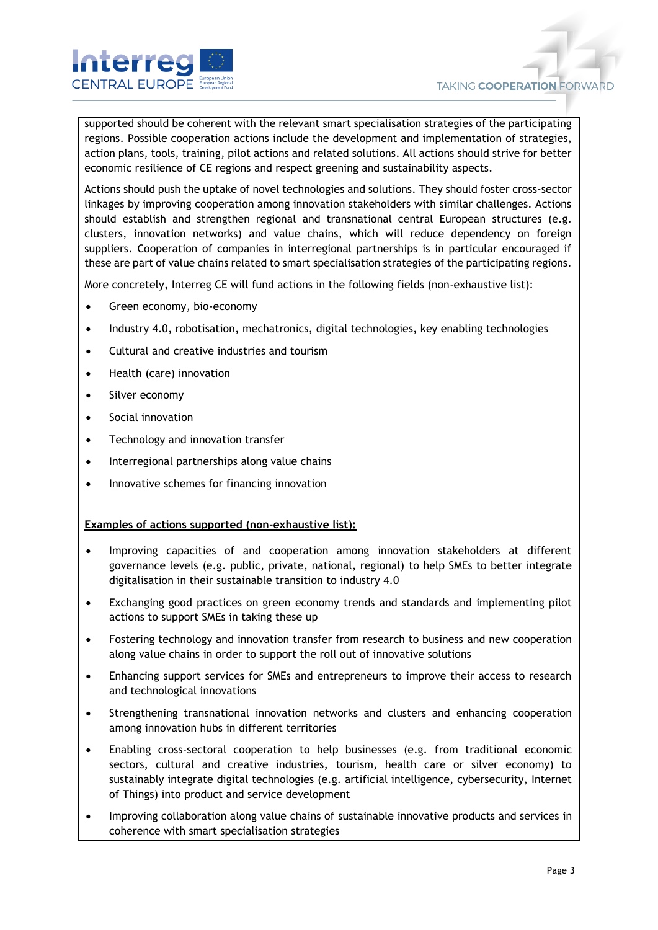

supported should be coherent with the relevant smart specialisation strategies of the participating regions. Possible cooperation actions include the development and implementation of strategies, action plans, tools, training, pilot actions and related solutions. All actions should strive for better economic resilience of CE regions and respect greening and sustainability aspects.

Actions should push the uptake of novel technologies and solutions. They should foster cross-sector linkages by improving cooperation among innovation stakeholders with similar challenges. Actions should establish and strengthen regional and transnational central European structures (e.g. clusters, innovation networks) and value chains, which will reduce dependency on foreign suppliers. Cooperation of companies in interregional partnerships is in particular encouraged if these are part of value chains related to smart specialisation strategies of the participating regions.

More concretely, Interreg CE will fund actions in the following fields (non-exhaustive list):

- Green economy, bio-economy
- Industry 4.0, robotisation, mechatronics, digital technologies, key enabling technologies
- Cultural and creative industries and tourism
- Health (care) innovation
- Silver economy
- Social innovation
- Technology and innovation transfer
- Interregional partnerships along value chains
- Innovative schemes for financing innovation

#### **Examples of actions supported (non-exhaustive list):**

- Improving capacities of and cooperation among innovation stakeholders at different governance levels (e.g. public, private, national, regional) to help SMEs to better integrate digitalisation in their sustainable transition to industry 4.0
- Exchanging good practices on green economy trends and standards and implementing pilot actions to support SMEs in taking these up
- Fostering technology and innovation transfer from research to business and new cooperation along value chains in order to support the roll out of innovative solutions
- Enhancing support services for SMEs and entrepreneurs to improve their access to research and technological innovations
- Strengthening transnational innovation networks and clusters and enhancing cooperation among innovation hubs in different territories
- Enabling cross-sectoral cooperation to help businesses (e.g. from traditional economic sectors, cultural and creative industries, tourism, health care or silver economy) to sustainably integrate digital technologies (e.g. artificial intelligence, cybersecurity, Internet of Things) into product and service development
- Improving collaboration along value chains of sustainable innovative products and services in coherence with smart specialisation strategies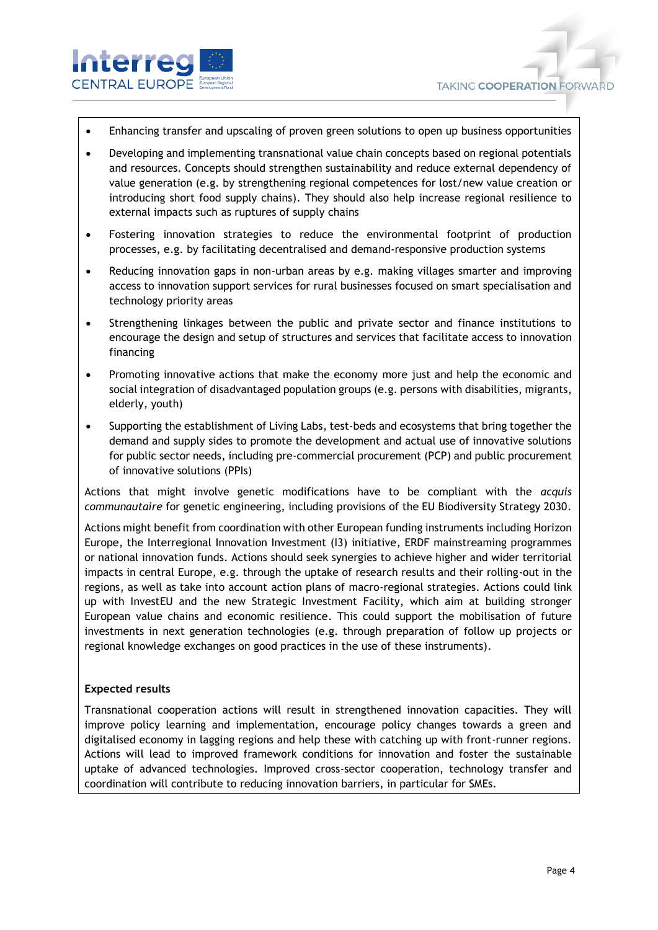

- Enhancing transfer and upscaling of proven green solutions to open up business opportunities
- Developing and implementing transnational value chain concepts based on regional potentials and resources. Concepts should strengthen sustainability and reduce external dependency of value generation (e.g. by strengthening regional competences for lost/new value creation or introducing short food supply chains). They should also help increase regional resilience to external impacts such as ruptures of supply chains
- Fostering innovation strategies to reduce the environmental footprint of production processes, e.g. by facilitating decentralised and demand-responsive production systems
- Reducing innovation gaps in non-urban areas by e.g. making villages smarter and improving access to innovation support services for rural businesses focused on smart specialisation and technology priority areas
- Strengthening linkages between the public and private sector and finance institutions to encourage the design and setup of structures and services that facilitate access to innovation financing
- Promoting innovative actions that make the economy more just and help the economic and social integration of disadvantaged population groups (e.g. persons with disabilities, migrants, elderly, youth)
- Supporting the establishment of Living Labs, test-beds and ecosystems that bring together the demand and supply sides to promote the development and actual use of innovative solutions for public sector needs, including pre-commercial procurement (PCP) and public procurement of innovative solutions (PPIs)

Actions that might involve genetic modifications have to be compliant with the *acquis communautaire* for genetic engineering, including provisions of the EU Biodiversity Strategy 2030.

Actions might benefit from coordination with other European funding instruments including Horizon Europe, the Interregional Innovation Investment (I3) initiative, ERDF mainstreaming programmes or national innovation funds. Actions should seek synergies to achieve higher and wider territorial impacts in central Europe, e.g. through the uptake of research results and their rolling-out in the regions, as well as take into account action plans of macro-regional strategies. Actions could link up with InvestEU and the new Strategic Investment Facility, which aim at building stronger European value chains and economic resilience. This could support the mobilisation of future investments in next generation technologies (e.g. through preparation of follow up projects or regional knowledge exchanges on good practices in the use of these instruments).

#### **Expected results**

Transnational cooperation actions will result in strengthened innovation capacities. They will improve policy learning and implementation, encourage policy changes towards a green and digitalised economy in lagging regions and help these with catching up with front-runner regions. Actions will lead to improved framework conditions for innovation and foster the sustainable uptake of advanced technologies. Improved cross-sector cooperation, technology transfer and coordination will contribute to reducing innovation barriers, in particular for SMEs.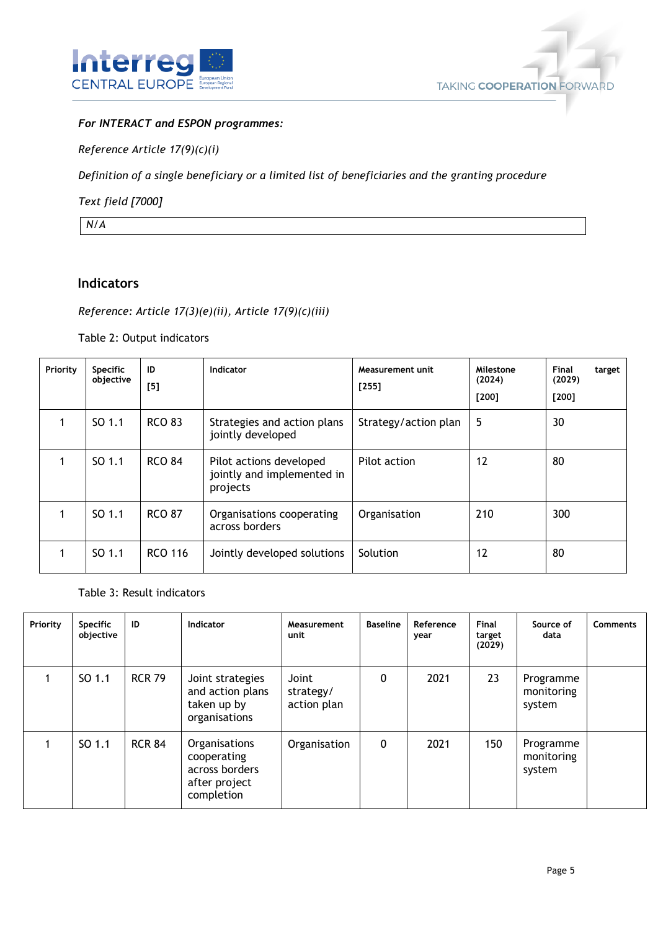



## *For INTERACT and ESPON programmes:*

*Reference Article 17(9)(c)(i)*

*Definition of a single beneficiary or a limited list of beneficiaries and the granting procedure*

*Text field [7000]*

*N/A*

# **Indicators**

## *Reference: Article 17(3)(e)(ii), Article 17(9)(c)(iii)*

Table 2: Output indicators

| Priority | <b>Specific</b><br>objective | ID<br>[5]      | Indicator                                                         | Measurement unit<br>$[255]$ | Milestone<br>(2024)<br>[200] | <b>Final</b><br>target<br>(2029)<br>[200] |
|----------|------------------------------|----------------|-------------------------------------------------------------------|-----------------------------|------------------------------|-------------------------------------------|
|          | SO 1.1                       | <b>RCO 83</b>  | Strategies and action plans<br>jointly developed                  | Strategy/action plan        | 5                            | 30                                        |
|          | SO 1.1                       | <b>RCO 84</b>  | Pilot actions developed<br>jointly and implemented in<br>projects | Pilot action                | 12                           | 80                                        |
|          | SO 1.1                       | <b>RCO 87</b>  | Organisations cooperating<br>across borders                       | Organisation                | 210                          | 300                                       |
|          | SO 1.1                       | <b>RCO 116</b> | Jointly developed solutions                                       | Solution                    | 12                           | 80                                        |

Table 3: Result indicators

| Priority | <b>Specific</b><br>objective | ID            | <b>Indicator</b>                                                              | Measurement<br>unit               | <b>Baseline</b> | Reference<br>year | Final<br>target<br>(2029) | Source of<br>data                 | <b>Comments</b> |
|----------|------------------------------|---------------|-------------------------------------------------------------------------------|-----------------------------------|-----------------|-------------------|---------------------------|-----------------------------------|-----------------|
|          | SO 1.1                       | <b>RCR 79</b> | Joint strategies<br>and action plans<br>taken up by<br>organisations          | Joint<br>strategy/<br>action plan | 0               | 2021              | 23                        | Programme<br>monitoring<br>system |                 |
|          | SO 1.1                       | <b>RCR 84</b> | Organisations<br>cooperating<br>across borders<br>after project<br>completion | Organisation                      | 0               | 2021              | 150                       | Programme<br>monitoring<br>system |                 |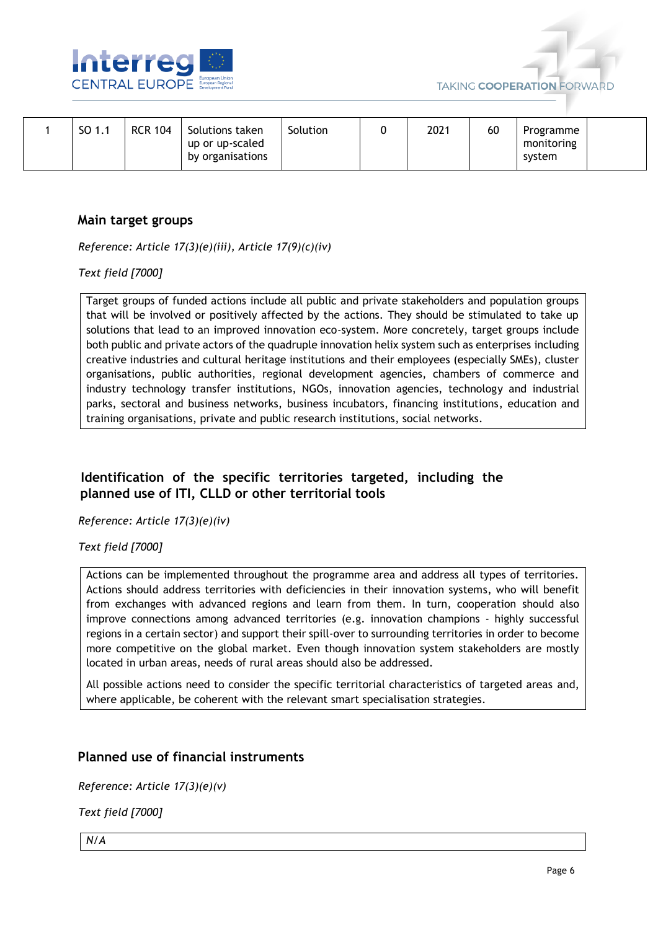



|  | SO 1.1 | <b>RCR 104</b> | Solutions taken<br>up or up-scaled<br>by organisations | Solution |  | 2021 | 60 | Programme<br>monitoring<br>system |  |
|--|--------|----------------|--------------------------------------------------------|----------|--|------|----|-----------------------------------|--|
|--|--------|----------------|--------------------------------------------------------|----------|--|------|----|-----------------------------------|--|

## **Main target groups**

*Reference: Article 17(3)(e)(iii), Article 17(9)(c)(iv)*

*Text field [7000]*

Target groups of funded actions include all public and private stakeholders and population groups that will be involved or positively affected by the actions. They should be stimulated to take up solutions that lead to an improved innovation eco-system. More concretely, target groups include both public and private actors of the quadruple innovation helix system such as enterprises including creative industries and cultural heritage institutions and their employees (especially SMEs), cluster organisations, public authorities, regional development agencies, chambers of commerce and industry technology transfer institutions, NGOs, innovation agencies, technology and industrial parks, sectoral and business networks, business incubators, financing institutions, education and training organisations, private and public research institutions, social networks.

# **Identification of the specific territories targeted, including the planned use of ITI, CLLD or other territorial tools**

*Reference: Article 17(3)(e)(iv)*

#### *Text field [7000]*

Actions can be implemented throughout the programme area and address all types of territories. Actions should address territories with deficiencies in their innovation systems, who will benefit from exchanges with advanced regions and learn from them. In turn, cooperation should also improve connections among advanced territories (e.g. innovation champions - highly successful regions in a certain sector) and support their spill-over to surrounding territories in order to become more competitive on the global market. Even though innovation system stakeholders are mostly located in urban areas, needs of rural areas should also be addressed.

All possible actions need to consider the specific territorial characteristics of targeted areas and, where applicable, be coherent with the relevant smart specialisation strategies.

# **Planned use of financial instruments**

*Reference: Article 17(3)(e)(v)*

*Text field [7000]*

*N/A*